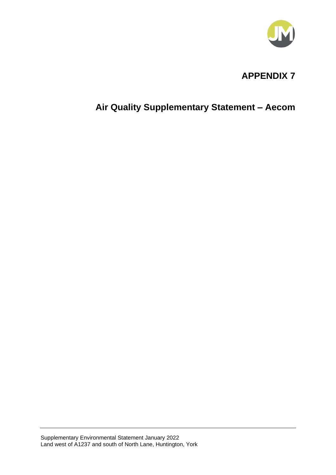

### **APPENDIX 7**

### **Air Quality Supplementary Statement – Aecom**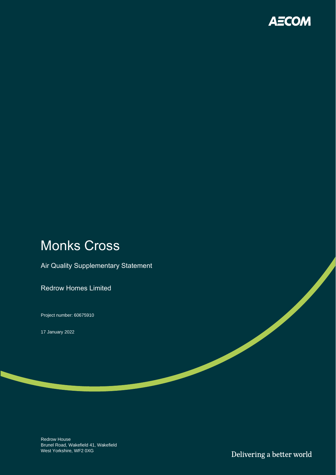

# Monks Cross

Air Quality Supplementary Statement

Redrow Homes Limited

Project number: 60675910

17 January 2022

Redrow House Brunel Road, Wakefield 41, Wakefield West Yorkshire, WF2 0XG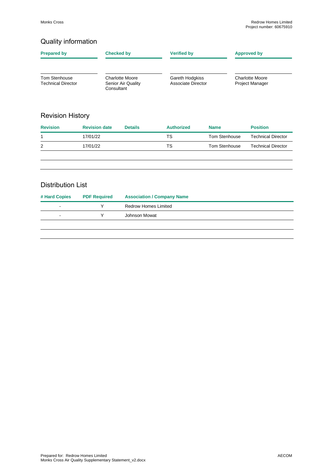#### Quality information

| <b>Prepared by</b>                                | <b>Checked by</b>                                          | <b>Verified by</b>                    | <b>Approved by</b>                        |  |
|---------------------------------------------------|------------------------------------------------------------|---------------------------------------|-------------------------------------------|--|
| <b>Tom Stenhouse</b><br><b>Technical Director</b> | <b>Charlotte Moore</b><br>Senior Air Quality<br>Consultant | Gareth Hodgkiss<br>Associate Director | Charlotte Moore<br><b>Project Manager</b> |  |

#### Revision History

| <b>Revision</b> | <b>Revision date</b> | <b>Details</b> | <b>Authorized</b> | <b>Name</b>   | <b>Position</b>    |
|-----------------|----------------------|----------------|-------------------|---------------|--------------------|
|                 | 17/01/22             |                | TS                | Tom Stenhouse | Technical Director |
| 2               | 17/01/22             |                | TS                | Tom Stenhouse | Technical Director |
|                 |                      |                |                   |               |                    |

#### Distribution List

| # Hard Copies | <b>PDF Required</b> | <b>Association / Company Name</b> |
|---------------|---------------------|-----------------------------------|
| -             | v                   | Redrow Homes Limited              |
| -             | v                   | Johnson Mowat                     |
|               |                     |                                   |
|               |                     |                                   |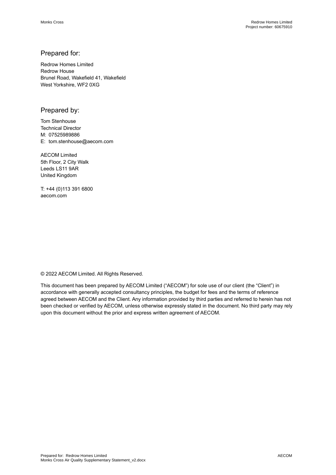#### Prepared for:

Redrow Homes Limited Redrow House Brunel Road, Wakefield 41, Wakefield West Yorkshire, WF2 0XG

#### Prepared by:

Tom Stenhouse Technical Director M: 07525989886 E: tom.stenhouse@aecom.com

AECOM Limited 5th Floor, 2 City Walk Leeds LS11 9AR United Kingdom

T: +44 (0)113 391 6800 aecom.com

© 2022 AECOM Limited. All Rights Reserved.

This document has been prepared by AECOM Limited ("AECOM") for sole use of our client (the "Client") in accordance with generally accepted consultancy principles, the budget for fees and the terms of reference agreed between AECOM and the Client. Any information provided by third parties and referred to herein has not been checked or verified by AECOM, unless otherwise expressly stated in the document. No third party may rely upon this document without the prior and express written agreement of AECOM.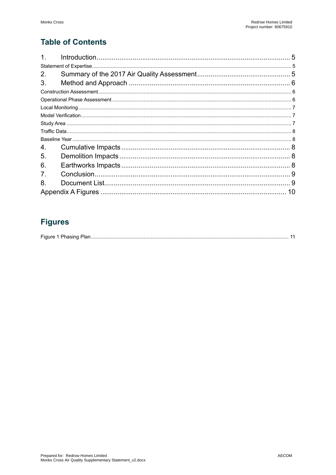### **Table of Contents**

| 1 <sub>1</sub> |  |
|----------------|--|
|                |  |
| 2.             |  |
| 3.             |  |
|                |  |
|                |  |
|                |  |
|                |  |
|                |  |
|                |  |
|                |  |
| 4.             |  |
| 5.             |  |
| 6.             |  |
| 7 <sub>1</sub> |  |
| 8.             |  |
|                |  |

### **Figures**

| $\overline{\phantom{a}}$ | הו |  |  |
|--------------------------|----|--|--|
|--------------------------|----|--|--|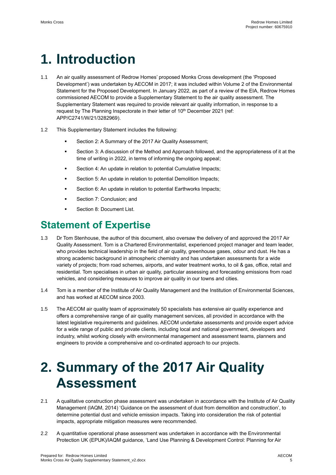# **1. Introduction**

- 1.1 An air quality assessment of Redrow Homes' proposed Monks Cross development (the 'Proposed Development') was undertaken by AECOM in 2017; it was included within Volume 2 of the Environmental Statement for the Proposed Development. In January 2022, as part of a review of the EIA, Redrow Homes commissioned AECOM to provide a Supplementary Statement to the air quality assessment. The Supplementary Statement was required to provide relevant air quality information, in response to a request by The Planning Inspectorate in their letter of 10<sup>th</sup> December 2021 (ref: APP/C2741/W/21/3282969).
- 1.2 This Supplementary Statement includes the following:
	- Section [2:](#page-5-0) A [Summary of the 2017 Air Quality Assessment;](#page-5-0)
	- Section 3: A discussion of the Method and Approach followed, and the appropriateness of it at the time of writing in 2022, in terms of informing the ongoing appeal;
	- Section [4:](#page-8-0) An update in relation to potential [Cumulative Impacts;](#page-8-0)
	- Section [5:](#page-8-1) An update in relation to potentia[l Demolition Impacts;](#page-8-1)
	- Section [6:](#page-8-2) An update in relation to potential [Earthworks Impacts;](#page-8-2)
	- Section [7: Conclusion;](#page-9-0) and
	- Section [8: Document List.](#page-9-1)

### **Statement of Expertise**

- 1.3 Dr Tom Stenhouse, the author of this document, also oversaw the delivery of and approved the 2017 Air Quality Assessment. Tom is a Chartered Environmentalist, experienced project manager and team leader, who provides technical leadership in the field of air quality, greenhouse gases, odour and dust. He has a strong academic background in atmospheric chemistry and has undertaken assessments for a wide variety of projects; from road schemes, airports, and water treatment works, to oil & gas, office, retail and residential. Tom specialises in urban air quality, particular assessing and forecasting emissions from road vehicles, and considering measures to improve air quality in our towns and cities.
- 1.4 Tom is a member of the Institute of Air Quality Management and the Institution of Environmental Sciences, and has worked at AECOM since 2003.
- 1.5 The AECOM air quality team of approximately 50 specialists has extensive air quality experience and offers a comprehensive range of air quality management services, all provided in accordance with the latest legislative requirements and guidelines. AECOM undertake assessments and provide expert advice for a wide range of public and private clients, including local and national government, developers and industry, whilst working closely with environmental management and assessment teams, planners and engineers to provide a comprehensive and co-ordinated approach to our projects.

# <span id="page-5-0"></span>**2. Summary of the 2017 Air Quality Assessment**

- 2.1 A qualitative construction phase assessment was undertaken in accordance with the Institute of Air Quality Management (IAQM, 2014) 'Guidance on the assessment of dust from demolition and construction', to determine potential dust and vehicle emission impacts. Taking into consideration the risk of potential impacts, appropriate mitigation measures were recommended.
- 2.2 A quantitative operational phase assessment was undertaken in accordance with the Environmental Protection UK (EPUK)/IAQM guidance, 'Land Use Planning & Development Control: Planning for Air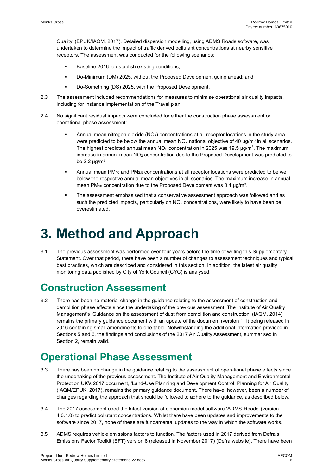Quality' (EPUK/IAQM, 2017). Detailed dispersion modelling, using ADMS Roads software, was undertaken to determine the impact of traffic derived pollutant concentrations at nearby sensitive receptors. The assessment was conducted for the following scenarios:

- Baseline 2016 to establish existing conditions;
- Do-Minimum (DM) 2025, without the Proposed Development going ahead; and,
- Do-Something (DS) 2025, with the Proposed Development.
- 2.3 The assessment included recommendations for measures to minimise operational air quality impacts, including for instance implementation of the Travel plan.
- 2.4 No significant residual impacts were concluded for either the construction phase assessment or operational phase assessment:
	- Annual mean nitrogen dioxide (NO<sub>2</sub>) concentrations at all receptor locations in the study area were predicted to be below the annual mean  $NO<sub>2</sub>$  national objective of 40  $\mu$ g/m<sup>3</sup> in all scenarios. The highest predicted annual mean  $NO<sub>2</sub>$  concentration in 2025 was 19.5  $\mu$ g/m<sup>3</sup>. The maximum increase in annual mean NO<sup>2</sup> concentration due to the Proposed Development was predicted to be 2.2  $\mu$ g/m<sup>3</sup>.
	- Annual mean  $PM_{10}$  and  $PM_{2.5}$  concentrations at all receptor locations were predicted to be well below the respective annual mean objectives in all scenarios. The maximum increase in annual mean PM<sub>10</sub> concentration due to the Proposed Development was 0.4  $\mu$ g/m<sup>3</sup>.
	- The assessment emphasised that a conservative assessment approach was followed and as such the predicted impacts, particularly on NO<sub>2</sub> concentrations, were likely to have been be overestimated.

# **3. Method and Approach**

3.1 The previous assessment was performed over four years before the time of writing this Supplementary Statement. Over that period, there have been a number of changes to assessment techniques and typical best practices, which are described and considered in this section. In addition, the latest air quality monitoring data published by City of York Council (CYC) is analysed.

## **Construction Assessment**

3.2 There has been no material change in the guidance relating to the assessment of construction and demolition phase effects since the undertaking of the previous assessment. The Institute of Air Quality Management's 'Guidance on the assessment of dust from demolition and construction' (IAQM, 2014) remains the primary guidance document with an update of the document (version 1.1) being released in 2016 containing small amendments to one table. Notwithstanding the additional information provided in Sections [5](#page-8-1) and [6,](#page-8-2) the findings and conclusions of the 2017 Air Quality Assessment, summarised in Section [2,](#page-5-0) remain valid.

## **Operational Phase Assessment**

- 3.3 There has been no change in the guidance relating to the assessment of operational phase effects since the undertaking of the previous assessment. The Institute of Air Quality Management and Environmental Protection UK's 2017 document, 'Land-Use Planning and Development Control: Planning for Air Quality' (IAQM/EPUK, 2017), remains the primary guidance document. There have, however, been a number of changes regarding the approach that should be followed to adhere to the guidance, as described below.
- 3.4 The 2017 assessment used the latest version of dispersion model software 'ADMS-Roads' (version 4.0.1.0) to predict pollutant concentrations. Whilst there have been updates and improvements to the software since 2017, none of these are fundamental updates to the way in which the software works.
- 3.5 ADMS requires vehicle emissions factors to function. The factors used in 2017 derived from Defra's Emissions Factor Toolkit (EFT) version 8 (released in November 2017) (Defra website). There have been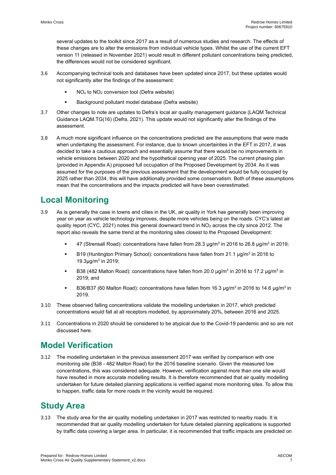several updates to the toolkit since 2017 as a result of numerous studies and research. The effects of these changes are to alter the emissions from individual vehicle types. Whilst the use of the current EFT version 11 (released in November 2021) would result in different pollutant concentrations being predicted, the differences would not be considered significant.

- 3.6 Accompanying technical tools and databases have been updated since 2017, but these updates would not significantly alter the findings of the assessment:
	- $NO<sub>x</sub>$  to  $NO<sub>2</sub>$  conversion tool (Defra website)
	- Background pollutant model database (Defra website)
- 3.7 Other changes to note are updates to Defra's local air quality management guidance (LAQM Technical Guidance LAQM.TG(16) (Defra, 2021). This update would not significantly alter the findings of the assessment.
- 3.8 A much more significant influence on the concentrations predicted are the assumptions that were made when undertaking the assessment. For instance, due to known uncertainties in the EFT in 2017, it was decided to take a cautious approach and essentially assume that there would be no improvements in vehicle emissions between 2020 and the hypothetical opening year of 2025. The current phasing plan (provided i[n Appendix A\)](#page-10-0) proposed full occupation of the Proposed Development by 2034. As it was assumed for the purposes of the previous assessment that the development would be fully occupied by 2025 rather than 2034, this will have additionally provided some conservatism. Both of these assumptions mean that the concentrations and the impacts predicted will have been overestimated.

### **Local Monitoring**

- 3.9 As is generally the case in towns and cities in the UK, air quality in York has generally been improving year on year as vehicle technology improves, despite more vehicles being on the roads. CYC's latest air quality report (CYC, 2021) notes this general downward trend in NO<sub>2</sub> across the city since 2012. The report also reveals the same trend at the monitoring sites closest to the Proposed Development:
	- 47 (Strensall Road): concentrations have fallen from 28.3 µg/m<sup>3</sup> in 2016 to 26.8 µg/m<sup>3</sup> in 2019;
	- **■** B19 (Huntington Primary School): concentrations have fallen from 21.1  $\mu$ g/m<sup>3</sup> in 2016 to 19.3µg/m<sup>3</sup> in 2019;
	- B38 (482 Malton Road): concentrations have fallen from 20.0  $\mu$ g/m $^3$  in 2016 to 17.2  $\mu$ g/m $^3$  in 2019; and
	- B36/B37 (60 Malton Road): concentrations have fallen from 16.3  $\mu$ g/m $^3$  in 2016 to 14.6  $\mu$ g/m $^3$  in 2019.
- 3.10 These observed falling concentrations validate the modelling undertaken in 2017, which predicted concentrations would fall at all receptors modelled, by approximately 20%, between 2016 and 2025.
- 3.11 Concentrations in 2020 should be considered to be atypical due to the Covid-19 pandemic and so are not discussed here.

### **Model Verification**

3.12 The modelling undertaken in the previous assessment 2017 was verified by comparison with one monitoring site (B38 - 482 Malton Road) for the 2016 baseline scenario. Given the measured low concentrations, this was considered adequate. However, verification against more than one site would have resulted in more accurate modelling results. It is therefore recommended that air quality modelling undertaken for future detailed planning applications is verified against more monitoring sites. To allow this to happen, traffic data for more roads in the vicinity would be required.

### **Study Area**

3.13 The study area for the air quality modelling undertaken in 2017 was restricted to nearby roads. It is recommended that air quality modelling undertaken for future detailed planning applications is supported by traffic data covering a larger area. In particular, it is recommended that traffic impacts are predicted on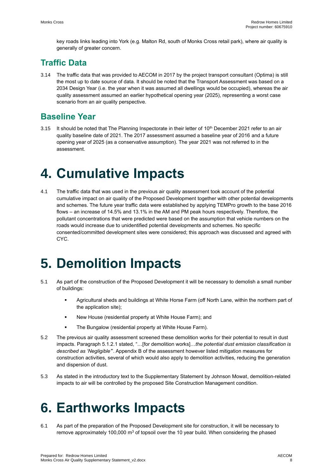key roads links leading into York (e.g. Malton Rd, south of Monks Cross retail park), where air quality is generally of greater concern.

### **Traffic Data**

3.14 The traffic data that was provided to AECOM in 2017 by the project transport consultant (Optima) is still the most up to date source of data. It should be noted that the Transport Assessment was based on a 2034 Design Year (i.e. the year when it was assumed all dwellings would be occupied), whereas the air quality assessment assumed an earlier hypothetical opening year (2025), representing a worst case scenario from an air quality perspective.

### **Baseline Year**

3.15 It should be noted that The Planning Inspectorate in their letter of 10<sup>th</sup> December 2021 refer to an air quality baseline date of 2021. The 2017 assessment assumed a baseline year of 2016 and a future opening year of 2025 (as a conservative assumption). The year 2021 was not referred to in the assessment.

# <span id="page-8-0"></span>**4. Cumulative Impacts**

4.1 The traffic data that was used in the previous air quality assessment took account of the potential cumulative impact on air quality of the Proposed Development together with other potential developments and schemes. The future year traffic data were established by applying TEMPro growth to the base 2016 flows – an increase of 14.5% and 13.1% in the AM and PM peak hours respectively. Therefore, the pollutant concentrations that were predicted were based on the assumption that vehicle numbers on the roads would increase due to unidentified potential developments and schemes. No specific consented/committed development sites were considered; this approach was discussed and agreed with CYC.

# <span id="page-8-1"></span>**5. Demolition Impacts**

- 5.1 As part of the construction of the Proposed Development it will be necessary to demolish a small number of buildings:
	- Agricultural sheds and buildings at White Horse Farm (off North Lane, within the northern part of the application site);
	- New House (residential property at White House Farm); and
	- The Bungalow (residential property at White House Farm).
- 5.2 The previous air quality assessment screened these demolition works for their potential to result in dust impacts. Paragraph 5.1.2.1 stated, "…[for demolition works]…*the potential dust emission classification is described as 'Negligible'*". Appendix B of the assessment however listed mitigation measures for construction activities, several of which would also apply to demolition activities, reducing the generation and dispersion of dust.
- 5.3 As stated in the introductory text to the Supplementary Statement by Johnson Mowat, demolition-related impacts to air will be controlled by the proposed Site Construction Management condition.

# <span id="page-8-2"></span>**6. Earthworks Impacts**

<span id="page-8-3"></span>6.1 As part of the preparation of the Proposed Development site for construction, it will be necessary to remove approximately 100,000  $\text{m}^3$  of topsoil over the 10 year build. When considering the phased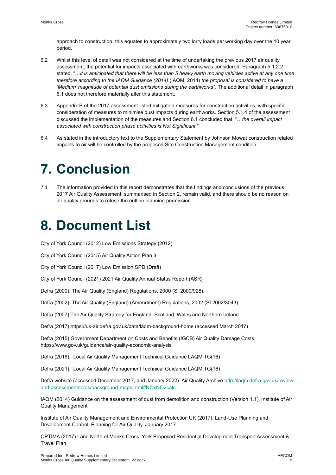approach to construction, this equates to approximately two lorry loads per working day over the 10 year period.

- 6.2 Whilst this level of detail was not considered at the time of undertaking the previous 2017 air quality assessment, the potential for impacts associated with earthworks was considered. Paragraph 5.1.2.2 stated, "…*it is anticipated that there will be less than 5 heavy earth moving vehicles active at any one time therefore according to the IAQM Guidance (2014)* (IAQM, 2014) *the proposal is considered to have a 'Medium' magnitude of potential dust emissions during the earthworks*". The additional detail in paragraph [6.1](#page-8-3) does not therefore materially alter this statement.
- 6.3 Appendix B of the 2017 assessment listed mitigation measures for construction activities, with specific consideration of measures to minimise dust impacts during earthworks. Section 5.1.4 of the assessment discussed the implementation of the measures and Section 6.1 concluded that, "…*the overall impact associated with construction phase activities is Not Significant.*"
- 6.4 As stated in the introductory text to the Supplementary Statement by Johnson Mowat construction related impacts to air will be controlled by the proposed Site Construction Management condition.

# <span id="page-9-0"></span>**7. Conclusion**

7.1 The information provided in this report demonstrates that the findings and conclusions of the previous 2017 Air Quality Assessment, summarised in Section [2,](#page-5-0) remain valid, and there should be no reason on air quality grounds to refuse the outline planning permission.

# <span id="page-9-1"></span>**8. Document List**

City of York Council (2012) Low Emissions Strategy (2012)

City of York Council (2015) Air Quality Action Plan 3

City of York Council (2017) Low Emission SPD (Draft)

City of York Council (2021) 2021 Air Quality Annual Status Report (ASR)

Defra (2000). The Air Quality (England) Regulations, 2000 (SI 2000/928).

Defra (2002). The Air Quality (England) (Amendment) Regulations, 2002 (SI 2002/3043).

Defra (2007) The Air Quality Strategy for England, Scotland, Wales and Northern Ireland

Defra (2017) https://uk-air.defra.gov.uk/data/laqm-background-home (accessed March 2017)

Defra (2015) Government Department on Costs and Benefits (IGCB) Air Quality Damage Costs. https://www.gov.uk/guidance/air-quality-economic-analysis

Defra (2016). Local Air Quality Management Technical Guidance LAQM.TG(16)

Defra (2021). Local Air Quality Management Technical Guidance LAQM.TG(16)

Defra website (accessed December 2017, and January 2022) Air Quality Archiv[e http://laqm.defra.gov.uk/review](http://laqm.defra.gov.uk/review-and-assessment/tools/background-maps.html#NOxNO2calc)[and-assessment/tools/background-maps.html#NOxNO2calc](http://laqm.defra.gov.uk/review-and-assessment/tools/background-maps.html#NOxNO2calc)

IAQM (2014) Guidance on the assessment of dust from demolition and construction (Version 1.1). Institute of Air Quality Management

Institute of Air Quality Management and Environmental Protection UK (2017). Land-Use Planning and Development Control: Planning for Air Quality, January 2017

OPTIMA (2017) Land North of Monks Cross, York Proposed Residential Development Transport Assessment & Travel Plan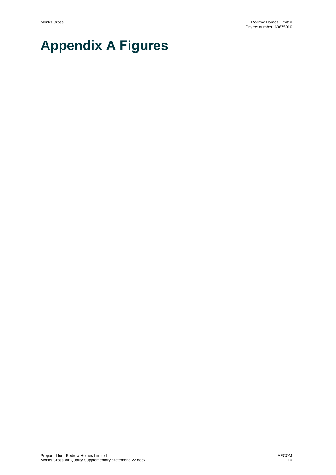# <span id="page-10-0"></span>**Appendix A Figures**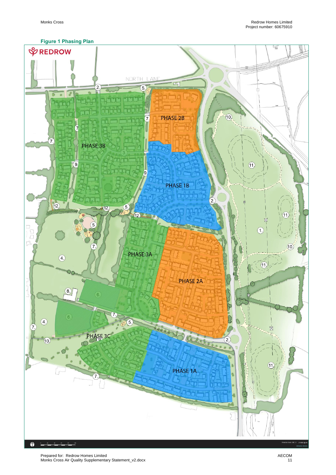